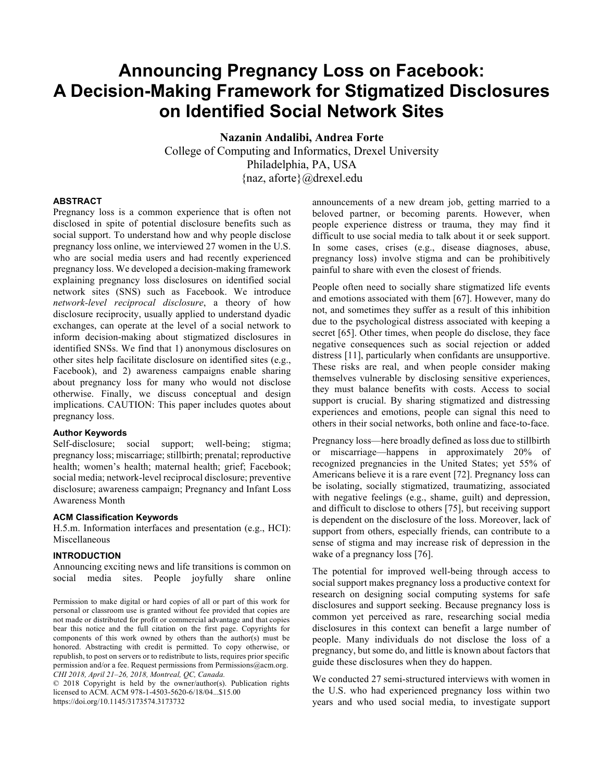# **Announcing Pregnancy Loss on Facebook: A Decision-Making Framework for Stigmatized Disclosures on Identified Social Network Sites**

**Nazanin Andalibi, Andrea Forte** College of Computing and Informatics, Drexel University Philadelphia, PA, USA {naz, aforte}@drexel.edu

# **ABSTRACT**

Pregnancy loss is a common experience that is often not disclosed in spite of potential disclosure benefits such as social support. To understand how and why people disclose pregnancy loss online, we interviewed 27 women in the U.S. who are social media users and had recently experienced pregnancy loss. We developed a decision-making framework explaining pregnancy loss disclosures on identified social network sites (SNS) such as Facebook. We introduce *network-level reciprocal disclosure*, a theory of how disclosure reciprocity, usually applied to understand dyadic exchanges, can operate at the level of a social network to inform decision-making about stigmatized disclosures in identified SNSs. We find that 1) anonymous disclosures on other sites help facilitate disclosure on identified sites (e.g., Facebook), and 2) awareness campaigns enable sharing about pregnancy loss for many who would not disclose otherwise. Finally, we discuss conceptual and design implications. CAUTION: This paper includes quotes about pregnancy loss.

### **Author Keywords**

Self-disclosure; social support; well-being; stigma; pregnancy loss; miscarriage; stillbirth; prenatal; reproductive health; women's health; maternal health; grief; Facebook; social media; network-level reciprocal disclosure; preventive disclosure; awareness campaign; Pregnancy and Infant Loss Awareness Month

#### **ACM Classification Keywords**

H.5.m. Information interfaces and presentation (e.g., HCI): Miscellaneous

#### **INTRODUCTION**

Announcing exciting news and life transitions is common on social media sites. People joyfully share online

Permission to make digital or hard copies of all or part of this work for personal or classroom use is granted without fee provided that copies are not made or distributed for profit or commercial advantage and that copies bear this notice and the full citation on the first page. Copyrights for components of this work owned by others than the author(s) must be honored. Abstracting with credit is permitted. To copy otherwise, or republish, to post on servers or to redistribute to lists, requires prior specific permission and/or a fee. Request permissions from Permissions@acm.org. *CHI 2018, April 21–26, 2018, Montreal, QC, Canada.*

© 2018 Copyright is held by the owner/author(s). Publication rights licensed to ACM. ACM 978-1-4503-5620-6/18/04...\$15.00 https://doi.org/10.1145/3173574.3173732

announcements of a new dream job, getting married to a beloved partner, or becoming parents. However, when people experience distress or trauma, they may find it difficult to use social media to talk about it or seek support. In some cases, crises (e.g., disease diagnoses, abuse, pregnancy loss) involve stigma and can be prohibitively painful to share with even the closest of friends.

People often need to socially share stigmatized life events and emotions associated with them [67]. However, many do not, and sometimes they suffer as a result of this inhibition due to the psychological distress associated with keeping a secret [65]. Other times, when people do disclose, they face negative consequences such as social rejection or added distress [11], particularly when confidants are unsupportive. These risks are real, and when people consider making themselves vulnerable by disclosing sensitive experiences, they must balance benefits with costs. Access to social support is crucial. By sharing stigmatized and distressing experiences and emotions, people can signal this need to others in their social networks, both online and face-to-face.

Pregnancy loss—here broadly defined as loss due to stillbirth or miscarriage—happens in approximately 20% of recognized pregnancies in the United States; yet 55% of Americans believe it is a rare event [72]. Pregnancy loss can be isolating, socially stigmatized, traumatizing, associated with negative feelings (e.g., shame, guilt) and depression, and difficult to disclose to others [75], but receiving support is dependent on the disclosure of the loss. Moreover, lack of support from others, especially friends, can contribute to a sense of stigma and may increase risk of depression in the wake of a pregnancy loss [76].

The potential for improved well-being through access to social support makes pregnancy loss a productive context for research on designing social computing systems for safe disclosures and support seeking. Because pregnancy loss is common yet perceived as rare, researching social media disclosures in this context can benefit a large number of people. Many individuals do not disclose the loss of a pregnancy, but some do, and little is known about factors that guide these disclosures when they do happen.

We conducted 27 semi-structured interviews with women in the U.S. who had experienced pregnancy loss within two years and who used social media, to investigate support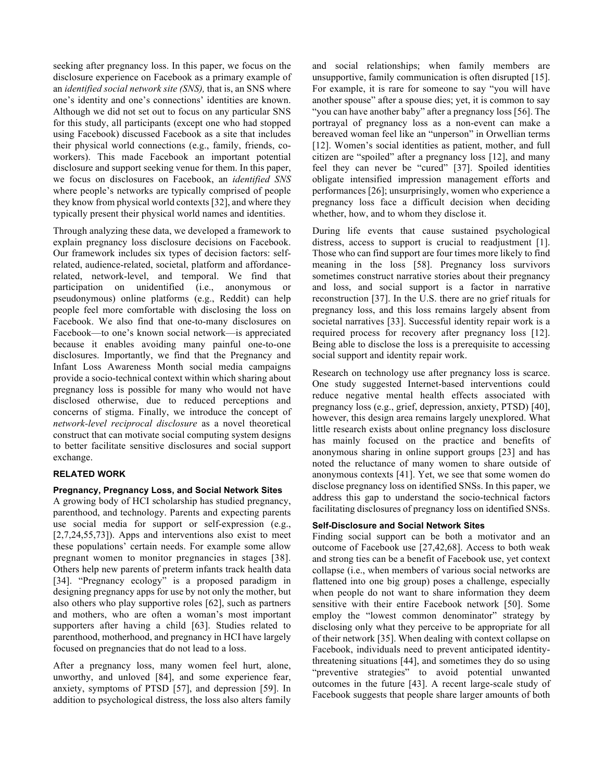seeking after pregnancy loss. In this paper, we focus on the disclosure experience on Facebook as a primary example of an *identified social network site (SNS),* that is, an SNS where one's identity and one's connections' identities are known. Although we did not set out to focus on any particular SNS for this study, all participants (except one who had stopped using Facebook) discussed Facebook as a site that includes their physical world connections (e.g., family, friends, coworkers). This made Facebook an important potential disclosure and support seeking venue for them. In this paper, we focus on disclosures on Facebook, an *identified SNS* where people's networks are typically comprised of people they know from physical world contexts [32], and where they typically present their physical world names and identities.

Through analyzing these data, we developed a framework to explain pregnancy loss disclosure decisions on Facebook. Our framework includes six types of decision factors: selfrelated, audience-related, societal, platform and affordancerelated, network-level, and temporal. We find that participation on unidentified (i.e., anonymous or pseudonymous) online platforms (e.g., Reddit) can help people feel more comfortable with disclosing the loss on Facebook. We also find that one-to-many disclosures on Facebook—to one's known social network—is appreciated because it enables avoiding many painful one-to-one disclosures. Importantly, we find that the Pregnancy and Infant Loss Awareness Month social media campaigns provide a socio-technical context within which sharing about pregnancy loss is possible for many who would not have disclosed otherwise, due to reduced perceptions and concerns of stigma. Finally, we introduce the concept of *network-level reciprocal disclosure* as a novel theoretical construct that can motivate social computing system designs to better facilitate sensitive disclosures and social support exchange.

### **RELATED WORK**

### **Pregnancy, Pregnancy Loss, and Social Network Sites**

A growing body of HCI scholarship has studied pregnancy, parenthood, and technology. Parents and expecting parents use social media for support or self-expression (e.g., [2,7,24,55,73]). Apps and interventions also exist to meet these populations' certain needs. For example some allow pregnant women to monitor pregnancies in stages [38]. Others help new parents of preterm infants track health data [34]. "Pregnancy ecology" is a proposed paradigm in designing pregnancy apps for use by not only the mother, but also others who play supportive roles [62], such as partners and mothers, who are often a woman's most important supporters after having a child [63]. Studies related to parenthood, motherhood, and pregnancy in HCI have largely focused on pregnancies that do not lead to a loss.

After a pregnancy loss, many women feel hurt, alone, unworthy, and unloved [84], and some experience fear, anxiety, symptoms of PTSD [57], and depression [59]. In addition to psychological distress, the loss also alters family

and social relationships; when family members are unsupportive, family communication is often disrupted [15]. For example, it is rare for someone to say "you will have another spouse" after a spouse dies; yet, it is common to say "you can have another baby" after a pregnancy loss [56]. The portrayal of pregnancy loss as a non-event can make a bereaved woman feel like an "unperson" in Orwellian terms [12]. Women's social identities as patient, mother, and full citizen are "spoiled" after a pregnancy loss [12], and many feel they can never be "cured" [37]. Spoiled identities obligate intensified impression management efforts and performances [26]; unsurprisingly, women who experience a pregnancy loss face a difficult decision when deciding whether, how, and to whom they disclose it.

During life events that cause sustained psychological distress, access to support is crucial to readjustment [1]. Those who can find support are four times more likely to find meaning in the loss [58]. Pregnancy loss survivors sometimes construct narrative stories about their pregnancy and loss, and social support is a factor in narrative reconstruction [37]. In the U.S. there are no grief rituals for pregnancy loss, and this loss remains largely absent from societal narratives [33]. Successful identity repair work is a required process for recovery after pregnancy loss [12]. Being able to disclose the loss is a prerequisite to accessing social support and identity repair work.

Research on technology use after pregnancy loss is scarce. One study suggested Internet-based interventions could reduce negative mental health effects associated with pregnancy loss (e.g., grief, depression, anxiety, PTSD) [40], however, this design area remains largely unexplored. What little research exists about online pregnancy loss disclosure has mainly focused on the practice and benefits of anonymous sharing in online support groups [23] and has noted the reluctance of many women to share outside of anonymous contexts [41]. Yet, we see that some women do disclose pregnancy loss on identified SNSs. In this paper, we address this gap to understand the socio-technical factors facilitating disclosures of pregnancy loss on identified SNSs.

## **Self-Disclosure and Social Network Sites**

Finding social support can be both a motivator and an outcome of Facebook use [27,42,68]. Access to both weak and strong ties can be a benefit of Facebook use, yet context collapse (i.e., when members of various social networks are flattened into one big group) poses a challenge, especially when people do not want to share information they deem sensitive with their entire Facebook network [50]. Some employ the "lowest common denominator" strategy by disclosing only what they perceive to be appropriate for all of their network [35]. When dealing with context collapse on Facebook, individuals need to prevent anticipated identitythreatening situations [44], and sometimes they do so using "preventive strategies" to avoid potential unwanted outcomes in the future [43]. A recent large-scale study of Facebook suggests that people share larger amounts of both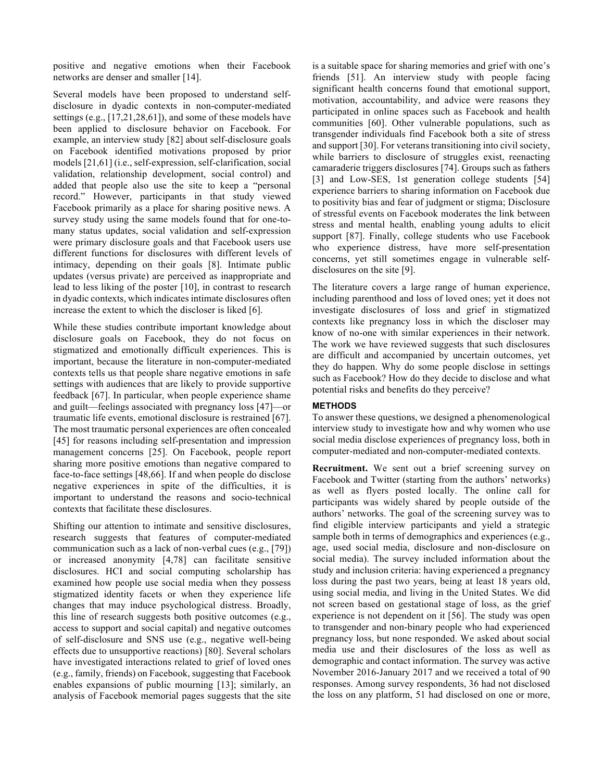positive and negative emotions when their Facebook networks are denser and smaller [14].

Several models have been proposed to understand selfdisclosure in dyadic contexts in non-computer-mediated settings (e.g., [17,21,28,61]), and some of these models have been applied to disclosure behavior on Facebook. For example, an interview study [82] about self-disclosure goals on Facebook identified motivations proposed by prior models [21,61] (i.e., self-expression, self-clarification, social validation, relationship development, social control) and added that people also use the site to keep a "personal record." However, participants in that study viewed Facebook primarily as a place for sharing positive news. A survey study using the same models found that for one-tomany status updates, social validation and self-expression were primary disclosure goals and that Facebook users use different functions for disclosures with different levels of intimacy, depending on their goals [8]. Intimate public updates (versus private) are perceived as inappropriate and lead to less liking of the poster [10], in contrast to research in dyadic contexts, which indicates intimate disclosures often increase the extent to which the discloser is liked [6].

While these studies contribute important knowledge about disclosure goals on Facebook, they do not focus on stigmatized and emotionally difficult experiences. This is important, because the literature in non-computer-mediated contexts tells us that people share negative emotions in safe settings with audiences that are likely to provide supportive feedback [67]. In particular, when people experience shame and guilt—feelings associated with pregnancy loss [47]—or traumatic life events, emotional disclosure is restrained [67]. The most traumatic personal experiences are often concealed [45] for reasons including self-presentation and impression management concerns [25]. On Facebook, people report sharing more positive emotions than negative compared to face-to-face settings [48,66]. If and when people do disclose negative experiences in spite of the difficulties, it is important to understand the reasons and socio-technical contexts that facilitate these disclosures.

Shifting our attention to intimate and sensitive disclosures, research suggests that features of computer-mediated communication such as a lack of non-verbal cues (e.g., [79]) or increased anonymity [4,78] can facilitate sensitive disclosures. HCI and social computing scholarship has examined how people use social media when they possess stigmatized identity facets or when they experience life changes that may induce psychological distress. Broadly, this line of research suggests both positive outcomes (e.g., access to support and social capital) and negative outcomes of self-disclosure and SNS use (e.g., negative well-being effects due to unsupportive reactions) [80]. Several scholars have investigated interactions related to grief of loved ones (e.g., family, friends) on Facebook, suggesting that Facebook enables expansions of public mourning [13]; similarly, an analysis of Facebook memorial pages suggests that the site

is a suitable space for sharing memories and grief with one's friends [51]. An interview study with people facing significant health concerns found that emotional support, motivation, accountability, and advice were reasons they participated in online spaces such as Facebook and health communities [60]. Other vulnerable populations, such as transgender individuals find Facebook both a site of stress and support [30]. For veterans transitioning into civil society, while barriers to disclosure of struggles exist, reenacting camaraderie triggers disclosures [74]. Groups such as fathers [3] and Low-SES, 1st generation college students [54] experience barriers to sharing information on Facebook due to positivity bias and fear of judgment or stigma; Disclosure of stressful events on Facebook moderates the link between stress and mental health, enabling young adults to elicit support [87]. Finally, college students who use Facebook who experience distress, have more self-presentation concerns, yet still sometimes engage in vulnerable selfdisclosures on the site [9].

The literature covers a large range of human experience, including parenthood and loss of loved ones; yet it does not investigate disclosures of loss and grief in stigmatized contexts like pregnancy loss in which the discloser may know of no-one with similar experiences in their network. The work we have reviewed suggests that such disclosures are difficult and accompanied by uncertain outcomes, yet they do happen. Why do some people disclose in settings such as Facebook? How do they decide to disclose and what potential risks and benefits do they perceive?

# **METHODS**

To answer these questions, we designed a phenomenological interview study to investigate how and why women who use social media disclose experiences of pregnancy loss, both in computer-mediated and non-computer-mediated contexts.

**Recruitment.** We sent out a brief screening survey on Facebook and Twitter (starting from the authors' networks) as well as flyers posted locally. The online call for participants was widely shared by people outside of the authors' networks. The goal of the screening survey was to find eligible interview participants and yield a strategic sample both in terms of demographics and experiences (e.g., age, used social media, disclosure and non-disclosure on social media). The survey included information about the study and inclusion criteria: having experienced a pregnancy loss during the past two years, being at least 18 years old, using social media, and living in the United States. We did not screen based on gestational stage of loss, as the grief experience is not dependent on it [56]. The study was open to transgender and non-binary people who had experienced pregnancy loss, but none responded. We asked about social media use and their disclosures of the loss as well as demographic and contact information. The survey was active November 2016-January 2017 and we received a total of 90 responses. Among survey respondents, 36 had not disclosed the loss on any platform, 51 had disclosed on one or more,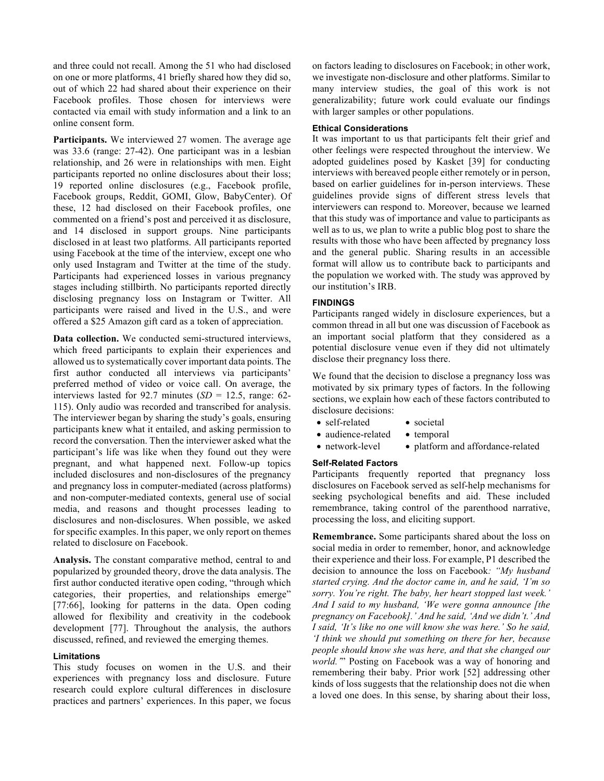and three could not recall. Among the 51 who had disclosed on one or more platforms, 41 briefly shared how they did so, out of which 22 had shared about their experience on their Facebook profiles. Those chosen for interviews were contacted via email with study information and a link to an online consent form.

**Participants.** We interviewed 27 women. The average age was 33.6 (range: 27-42). One participant was in a lesbian relationship, and 26 were in relationships with men. Eight participants reported no online disclosures about their loss; 19 reported online disclosures (e.g., Facebook profile, Facebook groups, Reddit, GOMI, Glow, BabyCenter). Of these, 12 had disclosed on their Facebook profiles, one commented on a friend's post and perceived it as disclosure, and 14 disclosed in support groups. Nine participants disclosed in at least two platforms. All participants reported using Facebook at the time of the interview, except one who only used Instagram and Twitter at the time of the study. Participants had experienced losses in various pregnancy stages including stillbirth. No participants reported directly disclosing pregnancy loss on Instagram or Twitter. All participants were raised and lived in the U.S., and were offered a \$25 Amazon gift card as a token of appreciation.

**Data collection.** We conducted semi-structured interviews. which freed participants to explain their experiences and allowed us to systematically cover important data points. The first author conducted all interviews via participants' preferred method of video or voice call. On average, the interviews lasted for 92.7 minutes  $(SD = 12.5, \text{ range: } 62$ -115). Only audio was recorded and transcribed for analysis. The interviewer began by sharing the study's goals, ensuring participants knew what it entailed, and asking permission to record the conversation. Then the interviewer asked what the participant's life was like when they found out they were pregnant, and what happened next. Follow-up topics included disclosures and non-disclosures of the pregnancy and pregnancy loss in computer-mediated (across platforms) and non-computer-mediated contexts, general use of social media, and reasons and thought processes leading to disclosures and non-disclosures. When possible, we asked for specific examples. In this paper, we only report on themes related to disclosure on Facebook.

**Analysis.** The constant comparative method, central to and popularized by grounded theory, drove the data analysis. The first author conducted iterative open coding, "through which categories, their properties, and relationships emerge" [77:66], looking for patterns in the data. Open coding allowed for flexibility and creativity in the codebook development [77]. Throughout the analysis, the authors discussed, refined, and reviewed the emerging themes.

#### **Limitations**

This study focuses on women in the U.S. and their experiences with pregnancy loss and disclosure. Future research could explore cultural differences in disclosure practices and partners' experiences. In this paper, we focus on factors leading to disclosures on Facebook; in other work, we investigate non-disclosure and other platforms. Similar to many interview studies, the goal of this work is not generalizability; future work could evaluate our findings with larger samples or other populations.

#### **Ethical Considerations**

It was important to us that participants felt their grief and other feelings were respected throughout the interview. We adopted guidelines posed by Kasket [39] for conducting interviews with bereaved people either remotely or in person, based on earlier guidelines for in-person interviews. These guidelines provide signs of different stress levels that interviewers can respond to. Moreover, because we learned that this study was of importance and value to participants as well as to us, we plan to write a public blog post to share the results with those who have been affected by pregnancy loss and the general public. Sharing results in an accessible format will allow us to contribute back to participants and the population we worked with. The study was approved by our institution's IRB.

## **FINDINGS**

Participants ranged widely in disclosure experiences, but a common thread in all but one was discussion of Facebook as an important social platform that they considered as a potential disclosure venue even if they did not ultimately disclose their pregnancy loss there.

We found that the decision to disclose a pregnancy loss was motivated by six primary types of factors. In the following sections, we explain how each of these factors contributed to disclosure decisions:

- self-related societal
- audience-related temporal
- network-level platform and affordance-related

### **Self-Related Factors**

Participants frequently reported that pregnancy loss disclosures on Facebook served as self-help mechanisms for seeking psychological benefits and aid. These included remembrance, taking control of the parenthood narrative, processing the loss, and eliciting support.

**Remembrance.** Some participants shared about the loss on social media in order to remember, honor, and acknowledge their experience and their loss. For example, P1 described the decision to announce the loss on Facebook*: "My husband started crying. And the doctor came in, and he said, 'I'm so sorry. You're right. The baby, her heart stopped last week.' And I said to my husband, 'We were gonna announce [the pregnancy on Facebook].' And he said, 'And we didn't.' And I said, 'It's like no one will know she was here.' So he said, 'I think we should put something on there for her, because people should know she was here, and that she changed our world.'*" Posting on Facebook was a way of honoring and remembering their baby. Prior work [52] addressing other kinds of loss suggests that the relationship does not die when a loved one does. In this sense, by sharing about their loss,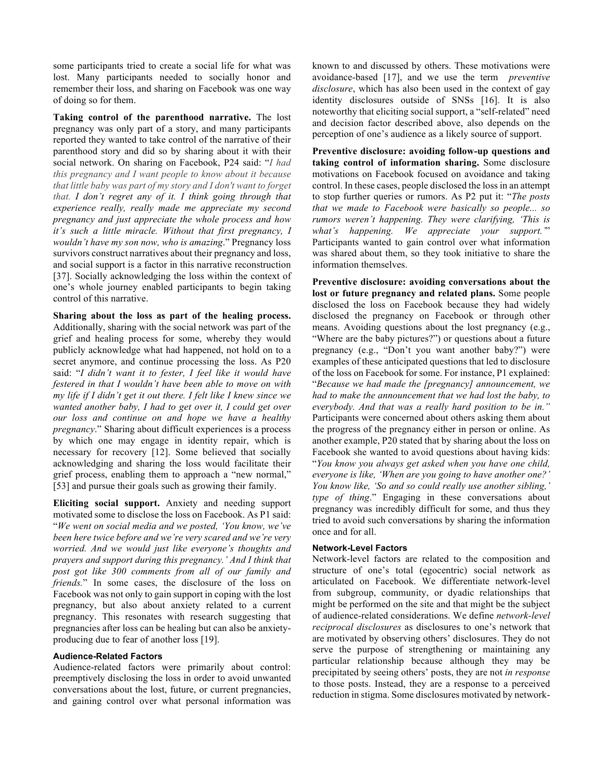some participants tried to create a social life for what was lost. Many participants needed to socially honor and remember their loss, and sharing on Facebook was one way of doing so for them.

**Taking control of the parenthood narrative.** The lost pregnancy was only part of a story, and many participants reported they wanted to take control of the narrative of their parenthood story and did so by sharing about it with their social network. On sharing on Facebook, P24 said: "*I had this pregnancy and I want people to know about it because that little baby was part of my story and I don't want to forget that. I don't regret any of it. I think going through that experience really, really made me appreciate my second pregnancy and just appreciate the whole process and how it's such a little miracle. Without that first pregnancy, I wouldn't have my son now, who is amazing*." Pregnancy loss survivors construct narratives about their pregnancy and loss, and social support is a factor in this narrative reconstruction [37]. Socially acknowledging the loss within the context of one's whole journey enabled participants to begin taking control of this narrative.

**Sharing about the loss as part of the healing process.** Additionally, sharing with the social network was part of the grief and healing process for some, whereby they would publicly acknowledge what had happened, not hold on to a secret anymore, and continue processing the loss. As P20 said: "*I didn't want it to fester, I feel like it would have festered in that I wouldn't have been able to move on with my life if I didn't get it out there. I felt like I knew since we wanted another baby, I had to get over it, I could get over our loss and continue on and hope we have a healthy pregnancy*." Sharing about difficult experiences is a process by which one may engage in identity repair, which is necessary for recovery [12]. Some believed that socially acknowledging and sharing the loss would facilitate their grief process, enabling them to approach a "new normal," [53] and pursue their goals such as growing their family.

**Eliciting social support.** Anxiety and needing support motivated some to disclose the loss on Facebook. As P1 said: "*We went on social media and we posted, 'You know, we've been here twice before and we're very scared and we're very worried. And we would just like everyone's thoughts and prayers and support during this pregnancy.' And I think that post got like 300 comments from all of our family and friends.*" In some cases, the disclosure of the loss on Facebook was not only to gain support in coping with the lost pregnancy, but also about anxiety related to a current pregnancy. This resonates with research suggesting that pregnancies after loss can be healing but can also be anxietyproducing due to fear of another loss [19].

## **Audience-Related Factors**

Audience-related factors were primarily about control: preemptively disclosing the loss in order to avoid unwanted conversations about the lost, future, or current pregnancies, and gaining control over what personal information was known to and discussed by others. These motivations were avoidance-based [17], and we use the term *preventive disclosure*, which has also been used in the context of gay identity disclosures outside of SNSs [16]. It is also noteworthy that eliciting social support, a "self-related" need and decision factor described above, also depends on the perception of one's audience as a likely source of support.

**Preventive disclosure: avoiding follow-up questions and taking control of information sharing.** Some disclosure motivations on Facebook focused on avoidance and taking control. In these cases, people disclosed the loss in an attempt to stop further queries or rumors. As P2 put it: "*The posts that we made to Facebook were basically so people... so rumors weren't happening. They were clarifying, 'This is what's happening. We appreciate your support.'*" Participants wanted to gain control over what information was shared about them, so they took initiative to share the information themselves.

**Preventive disclosure: avoiding conversations about the lost or future pregnancy and related plans.** Some people disclosed the loss on Facebook because they had widely disclosed the pregnancy on Facebook or through other means. Avoiding questions about the lost pregnancy (e.g., "Where are the baby pictures?") or questions about a future pregnancy (e.g., "Don't you want another baby?") were examples of these anticipated questions that led to disclosure of the loss on Facebook for some. For instance, P1 explained: "*Because we had made the [pregnancy] announcement, we had to make the announcement that we had lost the baby, to everybody. And that was a really hard position to be in."* Participants were concerned about others asking them about the progress of the pregnancy either in person or online. As another example, P20 stated that by sharing about the loss on Facebook she wanted to avoid questions about having kids: "*You know you always get asked when you have one child, everyone is like, 'When are you going to have another one?' You know like, 'So and so could really use another sibling,' type of thing*." Engaging in these conversations about pregnancy was incredibly difficult for some, and thus they tried to avoid such conversations by sharing the information once and for all.

## **Network-Level Factors**

Network-level factors are related to the composition and structure of one's total (egocentric) social network as articulated on Facebook. We differentiate network-level from subgroup, community, or dyadic relationships that might be performed on the site and that might be the subject of audience-related considerations. We define *network-level reciprocal disclosures* as disclosures to one's network that are motivated by observing others' disclosures. They do not serve the purpose of strengthening or maintaining any particular relationship because although they may be precipitated by seeing others' posts, they are not *in response* to those posts. Instead, they are a response to a perceived reduction in stigma. Some disclosures motivated by network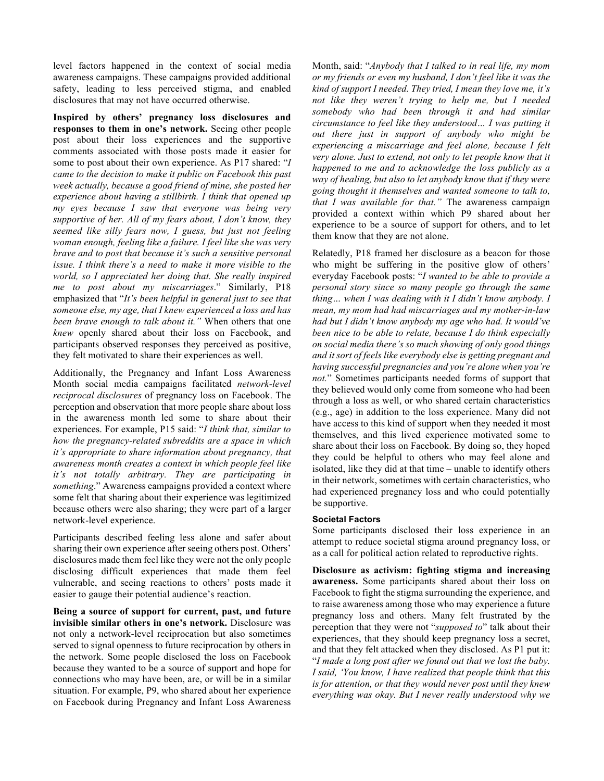level factors happened in the context of social media awareness campaigns. These campaigns provided additional safety, leading to less perceived stigma, and enabled disclosures that may not have occurred otherwise.

**Inspired by others' pregnancy loss disclosures and responses to them in one's network.** Seeing other people post about their loss experiences and the supportive comments associated with those posts made it easier for some to post about their own experience. As P17 shared: "*I came to the decision to make it public on Facebook this past week actually, because a good friend of mine, she posted her experience about having a stillbirth. I think that opened up my eyes because I saw that everyone was being very supportive of her. All of my fears about, I don't know, they seemed like silly fears now, I guess, but just not feeling woman enough, feeling like a failure. I feel like she was very brave and to post that because it's such a sensitive personal issue. I think there's a need to make it more visible to the world, so I appreciated her doing that. She really inspired me to post about my miscarriages*." Similarly, P18 emphasized that "*It's been helpful in general just to see that someone else, my age, that I knew experienced a loss and has been brave enough to talk about it."* When others that one *knew* openly shared about their loss on Facebook, and participants observed responses they perceived as positive, they felt motivated to share their experiences as well.

Additionally, the Pregnancy and Infant Loss Awareness Month social media campaigns facilitated *network-level reciprocal disclosures* of pregnancy loss on Facebook. The perception and observation that more people share about loss in the awareness month led some to share about their experiences. For example, P15 said: "*I think that, similar to how the pregnancy-related subreddits are a space in which it's appropriate to share information about pregnancy, that awareness month creates a context in which people feel like it's not totally arbitrary. They are participating in something*." Awareness campaigns provided a context where some felt that sharing about their experience was legitimized because others were also sharing; they were part of a larger network-level experience.

Participants described feeling less alone and safer about sharing their own experience after seeing others post. Others' disclosures made them feel like they were not the only people disclosing difficult experiences that made them feel vulnerable, and seeing reactions to others' posts made it easier to gauge their potential audience's reaction.

**Being a source of support for current, past, and future invisible similar others in one's network.** Disclosure was not only a network-level reciprocation but also sometimes served to signal openness to future reciprocation by others in the network. Some people disclosed the loss on Facebook because they wanted to be a source of support and hope for connections who may have been, are, or will be in a similar situation. For example, P9, who shared about her experience on Facebook during Pregnancy and Infant Loss Awareness Month, said: "*Anybody that I talked to in real life, my mom or my friends or even my husband, I don't feel like it was the kind of support I needed. They tried, I mean they love me, it's not like they weren't trying to help me, but I needed somebody who had been through it and had similar circumstance to feel like they understood… I was putting it out there just in support of anybody who might be experiencing a miscarriage and feel alone, because I felt very alone. Just to extend, not only to let people know that it happened to me and to acknowledge the loss publicly as a way of healing, but also to let anybody know that if they were going thought it themselves and wanted someone to talk to, that I was available for that."* The awareness campaign provided a context within which P9 shared about her experience to be a source of support for others, and to let them know that they are not alone.

Relatedly, P18 framed her disclosure as a beacon for those who might be suffering in the positive glow of others' everyday Facebook posts: "*I wanted to be able to provide a personal story since so many people go through the same thing… when I was dealing with it I didn't know anybody. I mean, my mom had had miscarriages and my mother-in-law had but I didn't know anybody my age who had. It would've been nice to be able to relate, because I do think especially on social media there's so much showing of only good things and it sort of feels like everybody else is getting pregnant and having successful pregnancies and you're alone when you're not.*" Sometimes participants needed forms of support that they believed would only come from someone who had been through a loss as well, or who shared certain characteristics (e.g., age) in addition to the loss experience. Many did not have access to this kind of support when they needed it most themselves, and this lived experience motivated some to share about their loss on Facebook. By doing so, they hoped they could be helpful to others who may feel alone and isolated, like they did at that time – unable to identify others in their network, sometimes with certain characteristics, who had experienced pregnancy loss and who could potentially be supportive.

### **Societal Factors**

Some participants disclosed their loss experience in an attempt to reduce societal stigma around pregnancy loss, or as a call for political action related to reproductive rights.

**Disclosure as activism: fighting stigma and increasing awareness.** Some participants shared about their loss on Facebook to fight the stigma surrounding the experience, and to raise awareness among those who may experience a future pregnancy loss and others. Many felt frustrated by the perception that they were not "*supposed to*" talk about their experiences, that they should keep pregnancy loss a secret, and that they felt attacked when they disclosed. As P1 put it: "*I made a long post after we found out that we lost the baby. I said, 'You know, I have realized that people think that this is for attention, or that they would never post until they knew everything was okay. But I never really understood why we*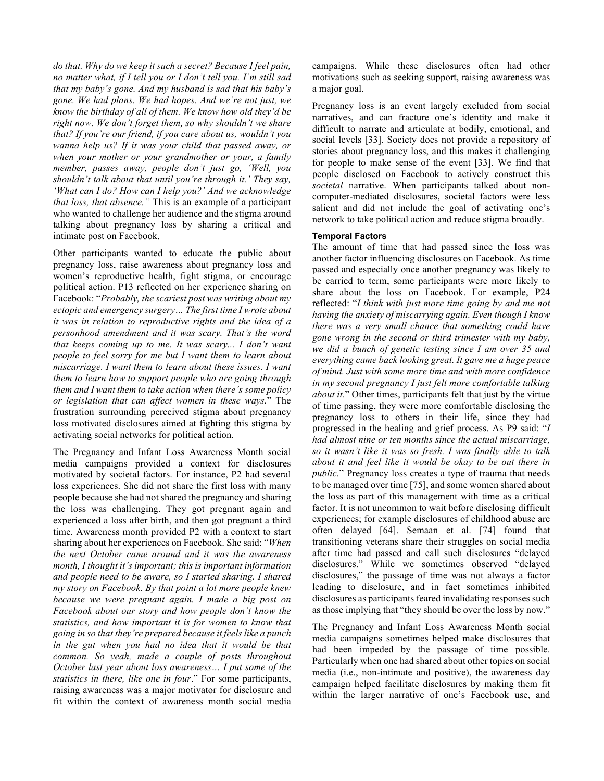*do that. Why do we keep it such a secret? Because I feel pain, no matter what, if I tell you or I don't tell you. I'm still sad that my baby's gone. And my husband is sad that his baby's gone. We had plans. We had hopes. And we're not just, we know the birthday of all of them. We know how old they'd be right now. We don't forget them, so why shouldn't we share that? If you're our friend, if you care about us, wouldn't you wanna help us? If it was your child that passed away, or when your mother or your grandmother or your, a family member, passes away, people don't just go, 'Well, you shouldn't talk about that until you're through it.' They say, 'What can I do? How can I help you?' And we acknowledge that loss, that absence."* This is an example of a participant who wanted to challenge her audience and the stigma around talking about pregnancy loss by sharing a critical and intimate post on Facebook.

Other participants wanted to educate the public about pregnancy loss, raise awareness about pregnancy loss and women's reproductive health, fight stigma, or encourage political action. P13 reflected on her experience sharing on Facebook: "*Probably, the scariest post was writing about my ectopic and emergency surgery… The first time I wrote about it was in relation to reproductive rights and the idea of a personhood amendment and it was scary. That's the word that keeps coming up to me. It was scary... I don't want people to feel sorry for me but I want them to learn about miscarriage. I want them to learn about these issues. I want them to learn how to support people who are going through them and I want them to take action when there's some policy or legislation that can affect women in these ways.*" The frustration surrounding perceived stigma about pregnancy loss motivated disclosures aimed at fighting this stigma by activating social networks for political action.

The Pregnancy and Infant Loss Awareness Month social media campaigns provided a context for disclosures motivated by societal factors. For instance, P2 had several loss experiences. She did not share the first loss with many people because she had not shared the pregnancy and sharing the loss was challenging. They got pregnant again and experienced a loss after birth, and then got pregnant a third time. Awareness month provided P2 with a context to start sharing about her experiences on Facebook. She said: "*When the next October came around and it was the awareness month, I thought it's important; this is important information and people need to be aware, so I started sharing. I shared my story on Facebook. By that point a lot more people knew because we were pregnant again. I made a big post on Facebook about our story and how people don't know the statistics, and how important it is for women to know that going in so that they're prepared because it feels like a punch in the gut when you had no idea that it would be that common. So yeah, made a couple of posts throughout October last year about loss awareness… I put some of the statistics in there, like one in four*." For some participants, raising awareness was a major motivator for disclosure and fit within the context of awareness month social media

campaigns. While these disclosures often had other motivations such as seeking support, raising awareness was a major goal.

Pregnancy loss is an event largely excluded from social narratives, and can fracture one's identity and make it difficult to narrate and articulate at bodily, emotional, and social levels [33]. Society does not provide a repository of stories about pregnancy loss, and this makes it challenging for people to make sense of the event [33]. We find that people disclosed on Facebook to actively construct this *societal* narrative. When participants talked about noncomputer-mediated disclosures, societal factors were less salient and did not include the goal of activating one's network to take political action and reduce stigma broadly.

## **Temporal Factors**

The amount of time that had passed since the loss was another factor influencing disclosures on Facebook. As time passed and especially once another pregnancy was likely to be carried to term, some participants were more likely to share about the loss on Facebook. For example, P24 reflected: "*I think with just more time going by and me not having the anxiety of miscarrying again. Even though I know there was a very small chance that something could have gone wrong in the second or third trimester with my baby, we did a bunch of genetic testing since I am over 35 and everything came back looking great. It gave me a huge peace of mind. Just with some more time and with more confidence in my second pregnancy I just felt more comfortable talking about it*." Other times, participants felt that just by the virtue of time passing, they were more comfortable disclosing the pregnancy loss to others in their life, since they had progressed in the healing and grief process. As P9 said: "*I had almost nine or ten months since the actual miscarriage, so it wasn't like it was so fresh. I was finally able to talk about it and feel like it would be okay to be out there in public.*" Pregnancy loss creates a type of trauma that needs to be managed over time [75], and some women shared about the loss as part of this management with time as a critical factor. It is not uncommon to wait before disclosing difficult experiences; for example disclosures of childhood abuse are often delayed [64]. Semaan et al. [74] found that transitioning veterans share their struggles on social media after time had passed and call such disclosures "delayed disclosures." While we sometimes observed "delayed disclosures," the passage of time was not always a factor leading to disclosure, and in fact sometimes inhibited disclosures as participants feared invalidating responses such as those implying that "they should be over the loss by now."

The Pregnancy and Infant Loss Awareness Month social media campaigns sometimes helped make disclosures that had been impeded by the passage of time possible. Particularly when one had shared about other topics on social media (i.e., non-intimate and positive), the awareness day campaign helped facilitate disclosures by making them fit within the larger narrative of one's Facebook use, and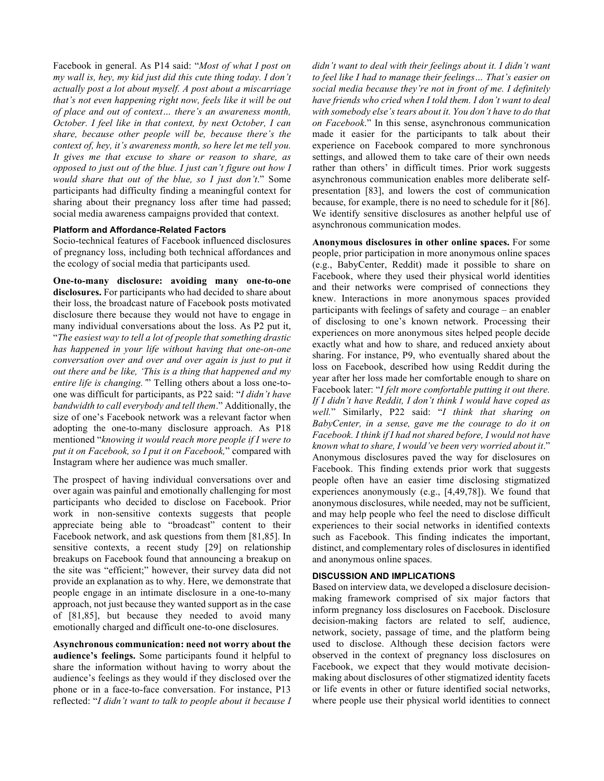Facebook in general. As P14 said: "*Most of what I post on my wall is, hey, my kid just did this cute thing today. I don't actually post a lot about myself. A post about a miscarriage that's not even happening right now, feels like it will be out of place and out of context… there's an awareness month, October. I feel like in that context, by next October, I can share, because other people will be, because there's the context of, hey, it's awareness month, so here let me tell you. It gives me that excuse to share or reason to share, as opposed to just out of the blue. I just can't figure out how I would share that out of the blue, so I just don't*." Some participants had difficulty finding a meaningful context for sharing about their pregnancy loss after time had passed; social media awareness campaigns provided that context.

#### **Platform and Affordance-Related Factors**

Socio-technical features of Facebook influenced disclosures of pregnancy loss, including both technical affordances and the ecology of social media that participants used.

**One-to-many disclosure: avoiding many one-to-one disclosures.** For participants who had decided to share about their loss, the broadcast nature of Facebook posts motivated disclosure there because they would not have to engage in many individual conversations about the loss. As P2 put it, "*The easiest way to tell a lot of people that something drastic has happened in your life without having that one-on-one conversation over and over and over again is just to put it out there and be like, 'This is a thing that happened and my entire life is changing.'*" Telling others about a loss one-toone was difficult for participants, as P22 said: "*I didn't have bandwidth to call everybody and tell them*." Additionally, the size of one's Facebook network was a relevant factor when adopting the one-to-many disclosure approach. As P18 mentioned "*knowing it would reach more people if I were to put it on Facebook, so I put it on Facebook,*" compared with Instagram where her audience was much smaller.

The prospect of having individual conversations over and over again was painful and emotionally challenging for most participants who decided to disclose on Facebook. Prior work in non-sensitive contexts suggests that people appreciate being able to "broadcast" content to their Facebook network, and ask questions from them [81,85]. In sensitive contexts, a recent study [29] on relationship breakups on Facebook found that announcing a breakup on the site was "efficient;" however, their survey data did not provide an explanation as to why. Here, we demonstrate that people engage in an intimate disclosure in a one-to-many approach, not just because they wanted support as in the case of [81,85], but because they needed to avoid many emotionally charged and difficult one-to-one disclosures.

**Asynchronous communication: need not worry about the audience's feelings.** Some participants found it helpful to share the information without having to worry about the audience's feelings as they would if they disclosed over the phone or in a face-to-face conversation. For instance, P13 reflected: "*I didn't want to talk to people about it because I*  *didn't want to deal with their feelings about it. I didn't want to feel like I had to manage their feelings… That's easier on social media because they're not in front of me. I definitely have friends who cried when I told them. I don't want to deal with somebody else's tears about it. You don't have to do that on Facebook*." In this sense, asynchronous communication made it easier for the participants to talk about their experience on Facebook compared to more synchronous settings, and allowed them to take care of their own needs rather than others' in difficult times. Prior work suggests asynchronous communication enables more deliberate selfpresentation [83], and lowers the cost of communication because, for example, there is no need to schedule for it [86]. We identify sensitive disclosures as another helpful use of asynchronous communication modes.

**Anonymous disclosures in other online spaces.** For some people, prior participation in more anonymous online spaces (e.g., BabyCenter, Reddit) made it possible to share on Facebook, where they used their physical world identities and their networks were comprised of connections they knew. Interactions in more anonymous spaces provided participants with feelings of safety and courage – an enabler of disclosing to one's known network. Processing their experiences on more anonymous sites helped people decide exactly what and how to share, and reduced anxiety about sharing. For instance, P9, who eventually shared about the loss on Facebook, described how using Reddit during the year after her loss made her comfortable enough to share on Facebook later: "*I felt more comfortable putting it out there. If I didn't have Reddit, I don't think I would have coped as well.*" Similarly, P22 said: "*I think that sharing on BabyCenter, in a sense, gave me the courage to do it on Facebook. I think if I had not shared before, I would not have known what to share, I would've been very worried about it*." Anonymous disclosures paved the way for disclosures on Facebook. This finding extends prior work that suggests people often have an easier time disclosing stigmatized experiences anonymously (e.g., [4,49,78]). We found that anonymous disclosures, while needed, may not be sufficient, and may help people who feel the need to disclose difficult experiences to their social networks in identified contexts such as Facebook. This finding indicates the important, distinct, and complementary roles of disclosures in identified and anonymous online spaces.

#### **DISCUSSION AND IMPLICATIONS**

Based on interview data, we developed a disclosure decisionmaking framework comprised of six major factors that inform pregnancy loss disclosures on Facebook. Disclosure decision-making factors are related to self, audience, network, society, passage of time, and the platform being used to disclose. Although these decision factors were observed in the context of pregnancy loss disclosures on Facebook, we expect that they would motivate decisionmaking about disclosures of other stigmatized identity facets or life events in other or future identified social networks, where people use their physical world identities to connect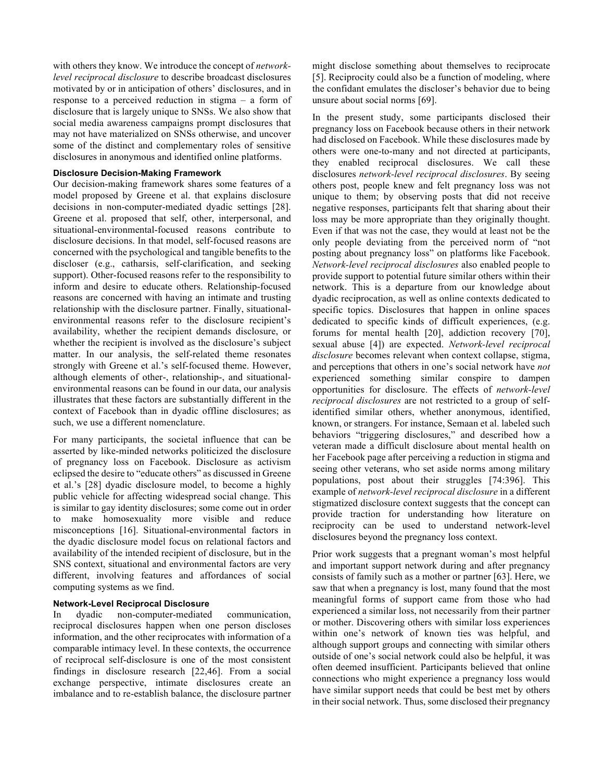with others they know. We introduce the concept of *networklevel reciprocal disclosure* to describe broadcast disclosures motivated by or in anticipation of others' disclosures, and in response to a perceived reduction in stigma – a form of disclosure that is largely unique to SNSs. We also show that social media awareness campaigns prompt disclosures that may not have materialized on SNSs otherwise, and uncover some of the distinct and complementary roles of sensitive disclosures in anonymous and identified online platforms.

#### **Disclosure Decision-Making Framework**

Our decision-making framework shares some features of a model proposed by Greene et al. that explains disclosure decisions in non-computer-mediated dyadic settings [28]. Greene et al. proposed that self, other, interpersonal, and situational-environmental-focused reasons contribute to disclosure decisions. In that model, self-focused reasons are concerned with the psychological and tangible benefits to the discloser (e.g., catharsis, self-clarification, and seeking support). Other-focused reasons refer to the responsibility to inform and desire to educate others. Relationship-focused reasons are concerned with having an intimate and trusting relationship with the disclosure partner. Finally, situationalenvironmental reasons refer to the disclosure recipient's availability, whether the recipient demands disclosure, or whether the recipient is involved as the disclosure's subject matter. In our analysis, the self-related theme resonates strongly with Greene et al.'s self-focused theme. However, although elements of other-, relationship-, and situationalenvironmental reasons can be found in our data, our analysis illustrates that these factors are substantially different in the context of Facebook than in dyadic offline disclosures; as such, we use a different nomenclature.

For many participants, the societal influence that can be asserted by like-minded networks politicized the disclosure of pregnancy loss on Facebook. Disclosure as activism eclipsed the desire to "educate others" as discussed in Greene et al.'s [28] dyadic disclosure model, to become a highly public vehicle for affecting widespread social change. This is similar to gay identity disclosures; some come out in order to make homosexuality more visible and reduce misconceptions [16]. Situational-environmental factors in the dyadic disclosure model focus on relational factors and availability of the intended recipient of disclosure, but in the SNS context, situational and environmental factors are very different, involving features and affordances of social computing systems as we find.

#### **Network-Level Reciprocal Disclosure**

In dyadic non-computer-mediated communication, reciprocal disclosures happen when one person discloses information, and the other reciprocates with information of a comparable intimacy level. In these contexts, the occurrence of reciprocal self-disclosure is one of the most consistent findings in disclosure research [22,46]. From a social exchange perspective, intimate disclosures create an imbalance and to re-establish balance, the disclosure partner might disclose something about themselves to reciprocate [5]. Reciprocity could also be a function of modeling, where the confidant emulates the discloser's behavior due to being unsure about social norms [69].

In the present study, some participants disclosed their pregnancy loss on Facebook because others in their network had disclosed on Facebook. While these disclosures made by others were one-to-many and not directed at participants, they enabled reciprocal disclosures. We call these disclosures *network-level reciprocal disclosures*. By seeing others post, people knew and felt pregnancy loss was not unique to them; by observing posts that did not receive negative responses, participants felt that sharing about their loss may be more appropriate than they originally thought. Even if that was not the case, they would at least not be the only people deviating from the perceived norm of "not posting about pregnancy loss" on platforms like Facebook. *Network-level reciprocal disclosures* also enabled people to provide support to potential future similar others within their network. This is a departure from our knowledge about dyadic reciprocation, as well as online contexts dedicated to specific topics. Disclosures that happen in online spaces dedicated to specific kinds of difficult experiences, (e.g. forums for mental health [20], addiction recovery [70], sexual abuse [4]) are expected. *Network-level reciprocal disclosure* becomes relevant when context collapse, stigma, and perceptions that others in one's social network have *not* experienced something similar conspire to dampen opportunities for disclosure. The effects of *network-level reciprocal disclosures* are not restricted to a group of selfidentified similar others, whether anonymous, identified, known, or strangers. For instance, Semaan et al. labeled such behaviors "triggering disclosures," and described how a veteran made a difficult disclosure about mental health on her Facebook page after perceiving a reduction in stigma and seeing other veterans, who set aside norms among military populations, post about their struggles [74:396]. This example of *network-level reciprocal disclosure* in a different stigmatized disclosure context suggests that the concept can provide traction for understanding how literature on reciprocity can be used to understand network-level disclosures beyond the pregnancy loss context.

Prior work suggests that a pregnant woman's most helpful and important support network during and after pregnancy consists of family such as a mother or partner [63]. Here, we saw that when a pregnancy is lost, many found that the most meaningful forms of support came from those who had experienced a similar loss, not necessarily from their partner or mother. Discovering others with similar loss experiences within one's network of known ties was helpful, and although support groups and connecting with similar others outside of one's social network could also be helpful, it was often deemed insufficient. Participants believed that online connections who might experience a pregnancy loss would have similar support needs that could be best met by others in their social network. Thus, some disclosed their pregnancy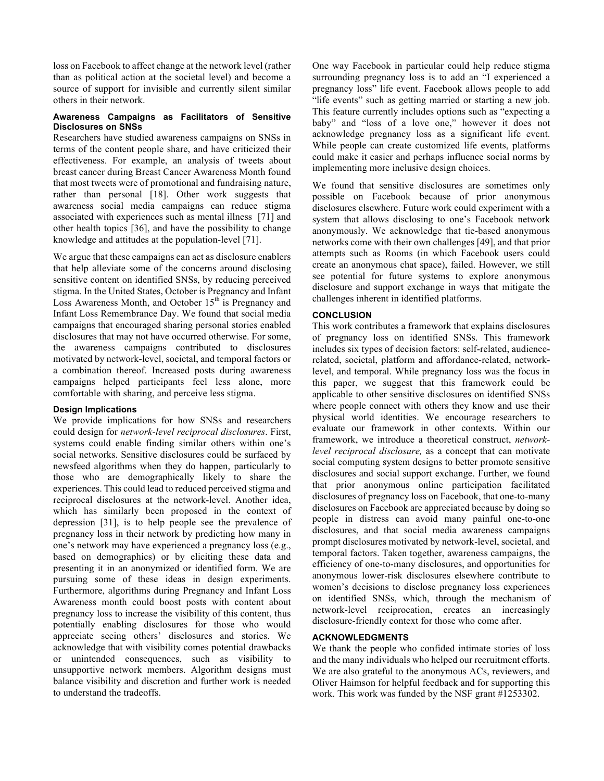loss on Facebook to affect change at the network level (rather than as political action at the societal level) and become a source of support for invisible and currently silent similar others in their network.

## **Awareness Campaigns as Facilitators of Sensitive Disclosures on SNSs**

Researchers have studied awareness campaigns on SNSs in terms of the content people share, and have criticized their effectiveness. For example, an analysis of tweets about breast cancer during Breast Cancer Awareness Month found that most tweets were of promotional and fundraising nature, rather than personal [18]. Other work suggests that awareness social media campaigns can reduce stigma associated with experiences such as mental illness [71] and other health topics [36], and have the possibility to change knowledge and attitudes at the population-level [71].

We argue that these campaigns can act as disclosure enablers that help alleviate some of the concerns around disclosing sensitive content on identified SNSs, by reducing perceived stigma. In the United States, October is Pregnancy and Infant Loss Awareness Month, and October  $15<sup>th</sup>$  is Pregnancy and Infant Loss Remembrance Day. We found that social media campaigns that encouraged sharing personal stories enabled disclosures that may not have occurred otherwise. For some, the awareness campaigns contributed to disclosures motivated by network-level, societal, and temporal factors or a combination thereof. Increased posts during awareness campaigns helped participants feel less alone, more comfortable with sharing, and perceive less stigma.

# **Design Implications**

We provide implications for how SNSs and researchers could design for *network-level reciprocal disclosures*. First, systems could enable finding similar others within one's social networks. Sensitive disclosures could be surfaced by newsfeed algorithms when they do happen, particularly to those who are demographically likely to share the experiences. This could lead to reduced perceived stigma and reciprocal disclosures at the network-level. Another idea, which has similarly been proposed in the context of depression [31], is to help people see the prevalence of pregnancy loss in their network by predicting how many in one's network may have experienced a pregnancy loss (e.g., based on demographics) or by eliciting these data and presenting it in an anonymized or identified form. We are pursuing some of these ideas in design experiments. Furthermore, algorithms during Pregnancy and Infant Loss Awareness month could boost posts with content about pregnancy loss to increase the visibility of this content, thus potentially enabling disclosures for those who would appreciate seeing others' disclosures and stories. We acknowledge that with visibility comes potential drawbacks or unintended consequences, such as visibility to unsupportive network members. Algorithm designs must balance visibility and discretion and further work is needed to understand the tradeoffs.

One way Facebook in particular could help reduce stigma surrounding pregnancy loss is to add an "I experienced a pregnancy loss" life event. Facebook allows people to add "life events" such as getting married or starting a new job. This feature currently includes options such as "expecting a baby" and "loss of a love one," however it does not acknowledge pregnancy loss as a significant life event. While people can create customized life events, platforms could make it easier and perhaps influence social norms by implementing more inclusive design choices.

We found that sensitive disclosures are sometimes only possible on Facebook because of prior anonymous disclosures elsewhere. Future work could experiment with a system that allows disclosing to one's Facebook network anonymously. We acknowledge that tie-based anonymous networks come with their own challenges [49], and that prior attempts such as Rooms (in which Facebook users could create an anonymous chat space), failed. However, we still see potential for future systems to explore anonymous disclosure and support exchange in ways that mitigate the challenges inherent in identified platforms.

## **CONCLUSION**

This work contributes a framework that explains disclosures of pregnancy loss on identified SNSs. This framework includes six types of decision factors: self-related, audiencerelated, societal, platform and affordance-related, networklevel, and temporal. While pregnancy loss was the focus in this paper, we suggest that this framework could be applicable to other sensitive disclosures on identified SNSs where people connect with others they know and use their physical world identities. We encourage researchers to evaluate our framework in other contexts. Within our framework, we introduce a theoretical construct, *networklevel reciprocal disclosure,* as a concept that can motivate social computing system designs to better promote sensitive disclosures and social support exchange. Further, we found that prior anonymous online participation facilitated disclosures of pregnancy loss on Facebook, that one-to-many disclosures on Facebook are appreciated because by doing so people in distress can avoid many painful one-to-one disclosures, and that social media awareness campaigns prompt disclosures motivated by network-level, societal, and temporal factors. Taken together, awareness campaigns, the efficiency of one-to-many disclosures, and opportunities for anonymous lower-risk disclosures elsewhere contribute to women's decisions to disclose pregnancy loss experiences on identified SNSs, which, through the mechanism of network-level reciprocation, creates an increasingly disclosure-friendly context for those who come after.

### **ACKNOWLEDGMENTS**

We thank the people who confided intimate stories of loss and the many individuals who helped our recruitment efforts. We are also grateful to the anonymous ACs, reviewers, and Oliver Haimson for helpful feedback and for supporting this work. This work was funded by the NSF grant #1253302.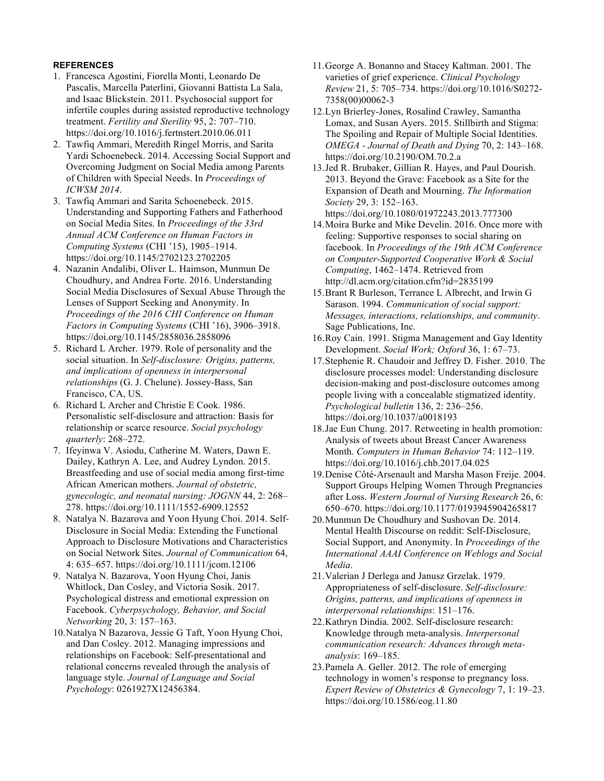## **REFERENCES**

- 1. Francesca Agostini, Fiorella Monti, Leonardo De Pascalis, Marcella Paterlini, Giovanni Battista La Sala, and Isaac Blickstein. 2011. Psychosocial support for infertile couples during assisted reproductive technology treatment. *Fertility and Sterility* 95, 2: 707–710. https://doi.org/10.1016/j.fertnstert.2010.06.011
- 2. Tawfiq Ammari, Meredith Ringel Morris, and Sarita Yardi Schoenebeck. 2014. Accessing Social Support and Overcoming Judgment on Social Media among Parents of Children with Special Needs. In *Proceedings of ICWSM 2014*.
- 3. Tawfiq Ammari and Sarita Schoenebeck. 2015. Understanding and Supporting Fathers and Fatherhood on Social Media Sites. In *Proceedings of the 33rd Annual ACM Conference on Human Factors in Computing Systems* (CHI '15), 1905–1914. https://doi.org/10.1145/2702123.2702205
- 4. Nazanin Andalibi, Oliver L. Haimson, Munmun De Choudhury, and Andrea Forte. 2016. Understanding Social Media Disclosures of Sexual Abuse Through the Lenses of Support Seeking and Anonymity. In *Proceedings of the 2016 CHI Conference on Human Factors in Computing Systems* (CHI '16), 3906–3918. https://doi.org/10.1145/2858036.2858096
- 5. Richard L Archer. 1979. Role of personality and the social situation. In *Self-disclosure: Origins, patterns, and implications of openness in interpersonal relationships* (G. J. Chelune). Jossey-Bass, San Francisco, CA, US.
- 6. Richard L Archer and Christie E Cook. 1986. Personalistic self-disclosure and attraction: Basis for relationship or scarce resource. *Social psychology quarterly*: 268–272.
- 7. Ifeyinwa V. Asiodu, Catherine M. Waters, Dawn E. Dailey, Kathryn A. Lee, and Audrey Lyndon. 2015. Breastfeeding and use of social media among first-time African American mothers. *Journal of obstetric, gynecologic, and neonatal nursing: JOGNN* 44, 2: 268– 278. https://doi.org/10.1111/1552-6909.12552
- 8. Natalya N. Bazarova and Yoon Hyung Choi. 2014. Self-Disclosure in Social Media: Extending the Functional Approach to Disclosure Motivations and Characteristics on Social Network Sites. *Journal of Communication* 64, 4: 635–657. https://doi.org/10.1111/jcom.12106
- 9. Natalya N. Bazarova, Yoon Hyung Choi, Janis Whitlock, Dan Cosley, and Victoria Sosik. 2017. Psychological distress and emotional expression on Facebook. *Cyberpsychology, Behavior, and Social Networking* 20, 3: 157–163.
- 10.Natalya N Bazarova, Jessie G Taft, Yoon Hyung Choi, and Dan Cosley. 2012. Managing impressions and relationships on Facebook: Self-presentational and relational concerns revealed through the analysis of language style. *Journal of Language and Social Psychology*: 0261927X12456384.
- 11.George A. Bonanno and Stacey Kaltman. 2001. The varieties of grief experience. *Clinical Psychology Review* 21, 5: 705–734. https://doi.org/10.1016/S0272- 7358(00)00062-3
- 12.Lyn Brierley-Jones, Rosalind Crawley, Samantha Lomax, and Susan Ayers. 2015. Stillbirth and Stigma: The Spoiling and Repair of Multiple Social Identities. *OMEGA - Journal of Death and Dying* 70, 2: 143–168. https://doi.org/10.2190/OM.70.2.a
- 13.Jed R. Brubaker, Gillian R. Hayes, and Paul Dourish. 2013. Beyond the Grave: Facebook as a Site for the Expansion of Death and Mourning. *The Information Society* 29, 3: 152–163. https://doi.org/10.1080/01972243.2013.777300
- 14.Moira Burke and Mike Develin. 2016. Once more with feeling: Supportive responses to social sharing on facebook. In *Proceedings of the 19th ACM Conference on Computer-Supported Cooperative Work & Social Computing*, 1462–1474. Retrieved from http://dl.acm.org/citation.cfm?id=2835199
- 15.Brant R Burleson, Terrance L Albrecht, and Irwin G Sarason. 1994. *Communication of social support: Messages, interactions, relationships, and community*. Sage Publications, Inc.
- 16.Roy Cain. 1991. Stigma Management and Gay Identity Development. *Social Work; Oxford* 36, 1: 67–73.
- 17.Stephenie R. Chaudoir and Jeffrey D. Fisher. 2010. The disclosure processes model: Understanding disclosure decision-making and post-disclosure outcomes among people living with a concealable stigmatized identity. *Psychological bulletin* 136, 2: 236–256. https://doi.org/10.1037/a0018193
- 18.Jae Eun Chung. 2017. Retweeting in health promotion: Analysis of tweets about Breast Cancer Awareness Month. *Computers in Human Behavior* 74: 112–119. https://doi.org/10.1016/j.chb.2017.04.025
- 19.Denise Côté-Arsenault and Marsha Mason Freije. 2004. Support Groups Helping Women Through Pregnancies after Loss. *Western Journal of Nursing Research* 26, 6: 650–670. https://doi.org/10.1177/0193945904265817
- 20.Munmun De Choudhury and Sushovan De. 2014. Mental Health Discourse on reddit: Self-Disclosure, Social Support, and Anonymity. In *Proceedings of the International AAAI Conference on Weblogs and Social Media*.
- 21.Valerian J Derlega and Janusz Grzelak. 1979. Appropriateness of self-disclosure. *Self-disclosure: Origins, patterns, and implications of openness in interpersonal relationships*: 151–176.
- 22.Kathryn Dindia. 2002. Self-disclosure research: Knowledge through meta-analysis. *Interpersonal communication research: Advances through metaanalysis*: 169–185.
- 23.Pamela A. Geller. 2012. The role of emerging technology in women's response to pregnancy loss. *Expert Review of Obstetrics & Gynecology* 7, 1: 19–23. https://doi.org/10.1586/eog.11.80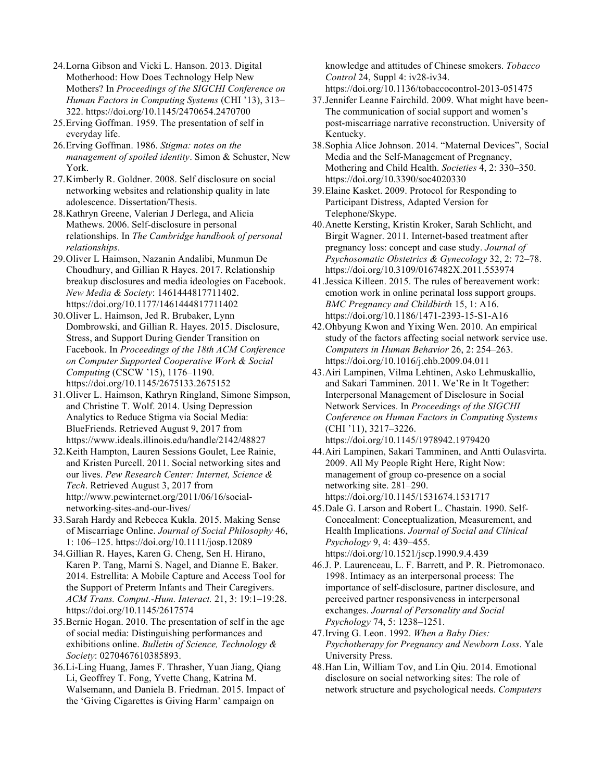24.Lorna Gibson and Vicki L. Hanson. 2013. Digital Motherhood: How Does Technology Help New Mothers? In *Proceedings of the SIGCHI Conference on Human Factors in Computing Systems* (CHI '13), 313– 322. https://doi.org/10.1145/2470654.2470700

25.Erving Goffman. 1959. The presentation of self in everyday life.

- 26.Erving Goffman. 1986. *Stigma: notes on the management of spoiled identity*. Simon & Schuster, New York.
- 27.Kimberly R. Goldner. 2008. Self disclosure on social networking websites and relationship quality in late adolescence. Dissertation/Thesis.
- 28.Kathryn Greene, Valerian J Derlega, and Alicia Mathews. 2006. Self-disclosure in personal relationships. In *The Cambridge handbook of personal relationships*.
- 29.Oliver L Haimson, Nazanin Andalibi, Munmun De Choudhury, and Gillian R Hayes. 2017. Relationship breakup disclosures and media ideologies on Facebook. *New Media & Society*: 1461444817711402. https://doi.org/10.1177/1461444817711402
- 30.Oliver L. Haimson, Jed R. Brubaker, Lynn Dombrowski, and Gillian R. Hayes. 2015. Disclosure, Stress, and Support During Gender Transition on Facebook. In *Proceedings of the 18th ACM Conference on Computer Supported Cooperative Work & Social Computing* (CSCW '15), 1176–1190. https://doi.org/10.1145/2675133.2675152
- 31.Oliver L. Haimson, Kathryn Ringland, Simone Simpson, and Christine T. Wolf. 2014. Using Depression Analytics to Reduce Stigma via Social Media: BlueFriends. Retrieved August 9, 2017 from https://www.ideals.illinois.edu/handle/2142/48827
- 32.Keith Hampton, Lauren Sessions Goulet, Lee Rainie, and Kristen Purcell. 2011. Social networking sites and our lives. *Pew Research Center: Internet, Science & Tech*. Retrieved August 3, 2017 from http://www.pewinternet.org/2011/06/16/socialnetworking-sites-and-our-lives/
- 33.Sarah Hardy and Rebecca Kukla. 2015. Making Sense of Miscarriage Online. *Journal of Social Philosophy* 46, 1: 106–125. https://doi.org/10.1111/josp.12089
- 34.Gillian R. Hayes, Karen G. Cheng, Sen H. Hirano, Karen P. Tang, Marni S. Nagel, and Dianne E. Baker. 2014. Estrellita: A Mobile Capture and Access Tool for the Support of Preterm Infants and Their Caregivers. *ACM Trans. Comput.-Hum. Interact.* 21, 3: 19:1–19:28. https://doi.org/10.1145/2617574
- 35.Bernie Hogan. 2010. The presentation of self in the age of social media: Distinguishing performances and exhibitions online. *Bulletin of Science, Technology & Society*: 0270467610385893.
- 36.Li-Ling Huang, James F. Thrasher, Yuan Jiang, Qiang Li, Geoffrey T. Fong, Yvette Chang, Katrina M. Walsemann, and Daniela B. Friedman. 2015. Impact of the 'Giving Cigarettes is Giving Harm' campaign on

knowledge and attitudes of Chinese smokers. *Tobacco Control* 24, Suppl 4: iv28-iv34. https://doi.org/10.1136/tobaccocontrol-2013-051475

- 37.Jennifer Leanne Fairchild. 2009. What might have been-The communication of social support and women's post-miscarriage narrative reconstruction. University of Kentucky.
- 38.Sophia Alice Johnson. 2014. "Maternal Devices", Social Media and the Self-Management of Pregnancy, Mothering and Child Health. *Societies* 4, 2: 330–350. https://doi.org/10.3390/soc4020330
- 39.Elaine Kasket. 2009. Protocol for Responding to Participant Distress, Adapted Version for Telephone/Skype.
- 40.Anette Kersting, Kristin Kroker, Sarah Schlicht, and Birgit Wagner. 2011. Internet-based treatment after pregnancy loss: concept and case study. *Journal of Psychosomatic Obstetrics & Gynecology* 32, 2: 72–78. https://doi.org/10.3109/0167482X.2011.553974
- 41.Jessica Killeen. 2015. The rules of bereavement work: emotion work in online perinatal loss support groups. *BMC Pregnancy and Childbirth* 15, 1: A16. https://doi.org/10.1186/1471-2393-15-S1-A16
- 42.Ohbyung Kwon and Yixing Wen. 2010. An empirical study of the factors affecting social network service use. *Computers in Human Behavior* 26, 2: 254–263. https://doi.org/10.1016/j.chb.2009.04.011
- 43.Airi Lampinen, Vilma Lehtinen, Asko Lehmuskallio, and Sakari Tamminen. 2011. We'Re in It Together: Interpersonal Management of Disclosure in Social Network Services. In *Proceedings of the SIGCHI Conference on Human Factors in Computing Systems* (CHI '11), 3217–3226. https://doi.org/10.1145/1978942.1979420
- 44.Airi Lampinen, Sakari Tamminen, and Antti Oulasvirta. 2009. All My People Right Here, Right Now: management of group co-presence on a social networking site. 281–290. https://doi.org/10.1145/1531674.1531717
- 45.Dale G. Larson and Robert L. Chastain. 1990. Self-Concealment: Conceptualization, Measurement, and Health Implications. *Journal of Social and Clinical Psychology* 9, 4: 439–455. https://doi.org/10.1521/jscp.1990.9.4.439
- 46.J. P. Laurenceau, L. F. Barrett, and P. R. Pietromonaco. 1998. Intimacy as an interpersonal process: The importance of self-disclosure, partner disclosure, and perceived partner responsiveness in interpersonal exchanges. *Journal of Personality and Social Psychology* 74, 5: 1238–1251.
- 47.Irving G. Leon. 1992. *When a Baby Dies: Psychotherapy for Pregnancy and Newborn Loss*. Yale University Press.
- 48.Han Lin, William Tov, and Lin Qiu. 2014. Emotional disclosure on social networking sites: The role of network structure and psychological needs. *Computers*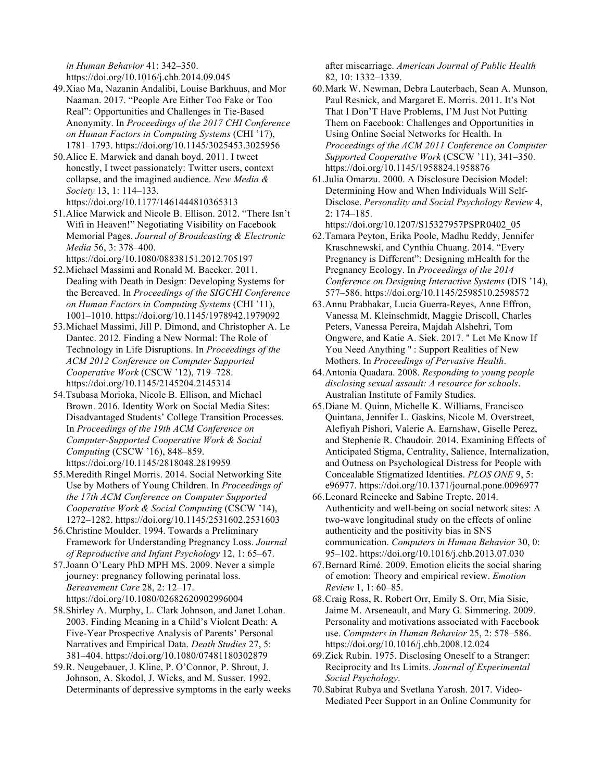*in Human Behavior* 41: 342–350. https://doi.org/10.1016/j.chb.2014.09.045

- 49.Xiao Ma, Nazanin Andalibi, Louise Barkhuus, and Mor Naaman. 2017. "People Are Either Too Fake or Too Real": Opportunities and Challenges in Tie-Based Anonymity. In *Proceedings of the 2017 CHI Conference on Human Factors in Computing Systems* (CHI '17), 1781–1793. https://doi.org/10.1145/3025453.3025956
- 50.Alice E. Marwick and danah boyd. 2011. I tweet honestly, I tweet passionately: Twitter users, context collapse, and the imagined audience. *New Media & Society* 13, 1: 114–133. https://doi.org/10.1177/1461444810365313
- 51.Alice Marwick and Nicole B. Ellison. 2012. "There Isn't Wifi in Heaven!" Negotiating Visibility on Facebook Memorial Pages. *Journal of Broadcasting & Electronic Media* 56, 3: 378–400.
- https://doi.org/10.1080/08838151.2012.705197 52.Michael Massimi and Ronald M. Baecker. 2011. Dealing with Death in Design: Developing Systems for the Bereaved. In *Proceedings of the SIGCHI Conference on Human Factors in Computing Systems* (CHI '11),
- 1001–1010. https://doi.org/10.1145/1978942.1979092 53.Michael Massimi, Jill P. Dimond, and Christopher A. Le Dantec. 2012. Finding a New Normal: The Role of Technology in Life Disruptions. In *Proceedings of the ACM 2012 Conference on Computer Supported Cooperative Work* (CSCW '12), 719–728. https://doi.org/10.1145/2145204.2145314
- 54.Tsubasa Morioka, Nicole B. Ellison, and Michael Brown. 2016. Identity Work on Social Media Sites: Disadvantaged Students' College Transition Processes. In *Proceedings of the 19th ACM Conference on Computer-Supported Cooperative Work & Social Computing* (CSCW '16), 848–859. https://doi.org/10.1145/2818048.2819959
- 55.Meredith Ringel Morris. 2014. Social Networking Site Use by Mothers of Young Children. In *Proceedings of the 17th ACM Conference on Computer Supported Cooperative Work & Social Computing* (CSCW '14), 1272–1282. https://doi.org/10.1145/2531602.2531603
- 56.Christine Moulder. 1994. Towards a Preliminary Framework for Understanding Pregnancy Loss. *Journal of Reproductive and Infant Psychology* 12, 1: 65–67.
- 57.Joann O'Leary PhD MPH MS. 2009. Never a simple journey: pregnancy following perinatal loss. *Bereavement Care* 28, 2: 12–17. https://doi.org/10.1080/02682620902996004
- 58.Shirley A. Murphy, L. Clark Johnson, and Janet Lohan. 2003. Finding Meaning in a Child's Violent Death: A Five-Year Prospective Analysis of Parents' Personal Narratives and Empirical Data. *Death Studies* 27, 5: 381–404. https://doi.org/10.1080/07481180302879
- 59.R. Neugebauer, J. Kline, P. O'Connor, P. Shrout, J. Johnson, A. Skodol, J. Wicks, and M. Susser. 1992. Determinants of depressive symptoms in the early weeks

after miscarriage. *American Journal of Public Health* 82, 10: 1332–1339.

- 60.Mark W. Newman, Debra Lauterbach, Sean A. Munson, Paul Resnick, and Margaret E. Morris. 2011. It's Not That I Don'T Have Problems, I'M Just Not Putting Them on Facebook: Challenges and Opportunities in Using Online Social Networks for Health. In *Proceedings of the ACM 2011 Conference on Computer Supported Cooperative Work* (CSCW '11), 341–350. https://doi.org/10.1145/1958824.1958876
- 61.Julia Omarzu. 2000. A Disclosure Decision Model: Determining How and When Individuals Will Self-Disclose. *Personality and Social Psychology Review* 4, 2: 174–185.

https://doi.org/10.1207/S15327957PSPR0402\_05

- 62.Tamara Peyton, Erika Poole, Madhu Reddy, Jennifer Kraschnewski, and Cynthia Chuang. 2014. "Every Pregnancy is Different": Designing mHealth for the Pregnancy Ecology. In *Proceedings of the 2014 Conference on Designing Interactive Systems* (DIS '14), 577–586. https://doi.org/10.1145/2598510.2598572
- 63.Annu Prabhakar, Lucia Guerra-Reyes, Anne Effron, Vanessa M. Kleinschmidt, Maggie Driscoll, Charles Peters, Vanessa Pereira, Majdah Alshehri, Tom Ongwere, and Katie A. Siek. 2017. " Let Me Know If You Need Anything " : Support Realities of New Mothers. In *Proceedings of Pervasive Health*.
- 64.Antonia Quadara. 2008. *Responding to young people disclosing sexual assault: A resource for schools*. Australian Institute of Family Studies.
- 65.Diane M. Quinn, Michelle K. Williams, Francisco Quintana, Jennifer L. Gaskins, Nicole M. Overstreet, Alefiyah Pishori, Valerie A. Earnshaw, Giselle Perez, and Stephenie R. Chaudoir. 2014. Examining Effects of Anticipated Stigma, Centrality, Salience, Internalization, and Outness on Psychological Distress for People with Concealable Stigmatized Identities. *PLOS ONE* 9, 5: e96977. https://doi.org/10.1371/journal.pone.0096977
- 66.Leonard Reinecke and Sabine Trepte. 2014. Authenticity and well-being on social network sites: A two-wave longitudinal study on the effects of online authenticity and the positivity bias in SNS communication. *Computers in Human Behavior* 30, 0: 95–102. https://doi.org/10.1016/j.chb.2013.07.030
- 67.Bernard Rimé. 2009. Emotion elicits the social sharing of emotion: Theory and empirical review. *Emotion Review* 1, 1: 60–85.
- 68.Craig Ross, R. Robert Orr, Emily S. Orr, Mia Sisic, Jaime M. Arseneault, and Mary G. Simmering. 2009. Personality and motivations associated with Facebook use. *Computers in Human Behavior* 25, 2: 578–586. https://doi.org/10.1016/j.chb.2008.12.024
- 69.Zick Rubin. 1975. Disclosing Oneself to a Stranger: Reciprocity and Its Limits. *Journal of Experimental Social Psychology*.
- 70.Sabirat Rubya and Svetlana Yarosh. 2017. Video-Mediated Peer Support in an Online Community for